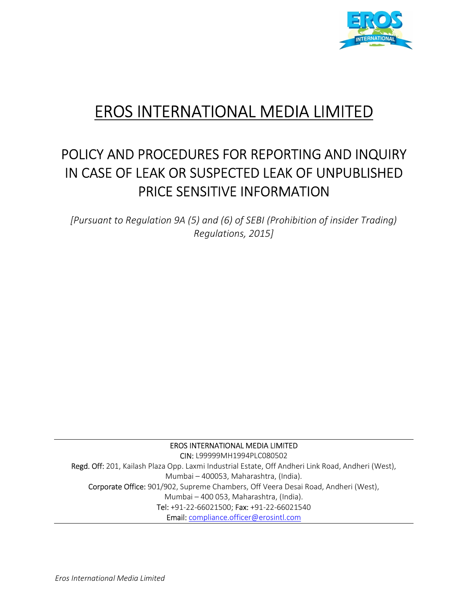

# EROS INTERNATIONAL MEDIA LIMITED

# POLICY AND PROCEDURES FOR REPORTING AND INQUIRY IN CASE OF LEAK OR SUSPECTED LEAK OF UNPUBLISHED PRICE SENSITIVE INFORMATION

[Pursuant to Regulation 9A (5) and (6) of SEBI (Prohibition of insider Trading) Regulations, 2015]

EROS INTERNATIONAL MEDIA LIMITED

CIN: L99999MH1994PLC080502 Regd. Off: 201, Kailash Plaza Opp. Laxmi Industrial Estate, Off Andheri Link Road, Andheri (West), Mumbai – 400053, Maharashtra, (India). Corporate Office: 901/902, Supreme Chambers, Off Veera Desai Road, Andheri (West), Mumbai – 400 053, Maharashtra, (India). Tel: +91-22-66021500; Fax: +91-22-66021540 Email: compliance.officer@erosintl.com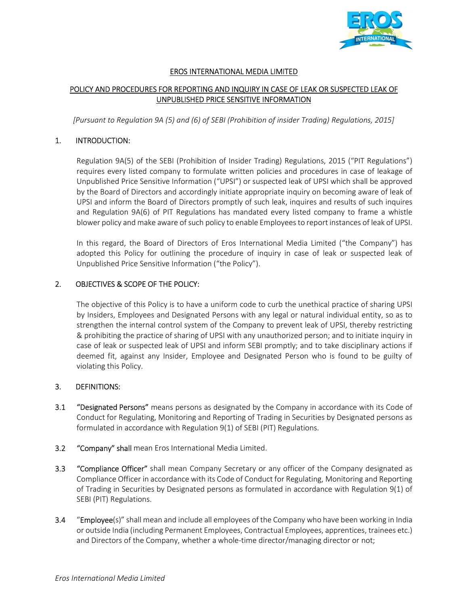

# EROS INTERNATIONAL MEDIA LIMITED

# POLICY AND PROCEDURES FOR REPORTING AND INQUIRY IN CASE OF LEAK OR SUSPECTED LEAK OF UNPUBLISHED PRICE SENSITIVE INFORMATION

[Pursuant to Regulation 9A (5) and (6) of SEBI (Prohibition of insider Trading) Regulations, 2015]

#### 1. INTRODUCTION:

Regulation 9A(5) of the SEBI (Prohibition of Insider Trading) Regulations, 2015 ("PIT Regulations") requires every listed company to formulate written policies and procedures in case of leakage of Unpublished Price Sensitive Information ("UPSI") or suspected leak of UPSI which shall be approved by the Board of Directors and accordingly initiate appropriate inquiry on becoming aware of leak of UPSI and inform the Board of Directors promptly of such leak, inquires and results of such inquires and Regulation 9A(6) of PIT Regulations has mandated every listed company to frame a whistle blower policy and make aware of such policy to enable Employees to report instances of leak of UPSI.

In this regard, the Board of Directors of Eros International Media Limited ("the Company") has adopted this Policy for outlining the procedure of inquiry in case of leak or suspected leak of Unpublished Price Sensitive Information ("the Policy").

#### 2. OBJECTIVES & SCOPE OF THE POLICY:

The objective of this Policy is to have a uniform code to curb the unethical practice of sharing UPSI by Insiders, Employees and Designated Persons with any legal or natural individual entity, so as to strengthen the internal control system of the Company to prevent leak of UPSI, thereby restricting & prohibiting the practice of sharing of UPSI with any unauthorized person; and to initiate inquiry in case of leak or suspected leak of UPSI and inform SEBI promptly; and to take disciplinary actions if deemed fit, against any Insider, Employee and Designated Person who is found to be guilty of violating this Policy.

#### 3. DEFINITIONS:

- 3.1 "Designated Persons" means persons as designated by the Company in accordance with its Code of Conduct for Regulating, Monitoring and Reporting of Trading in Securities by Designated persons as formulated in accordance with Regulation 9(1) of SEBI (PIT) Regulations.
- 3.2 "Company" shall mean Eros International Media Limited.
- 3.3 "Compliance Officer" shall mean Company Secretary or any officer of the Company designated as Compliance Officer in accordance with its Code of Conduct for Regulating, Monitoring and Reporting of Trading in Securities by Designated persons as formulated in accordance with Regulation 9(1) of SEBI (PIT) Regulations.
- 3.4 "Employee(s)" shall mean and include all employees of the Company who have been working in India or outside India (including Permanent Employees, Contractual Employees, apprentices, trainees etc.) and Directors of the Company, whether a whole-time director/managing director or not;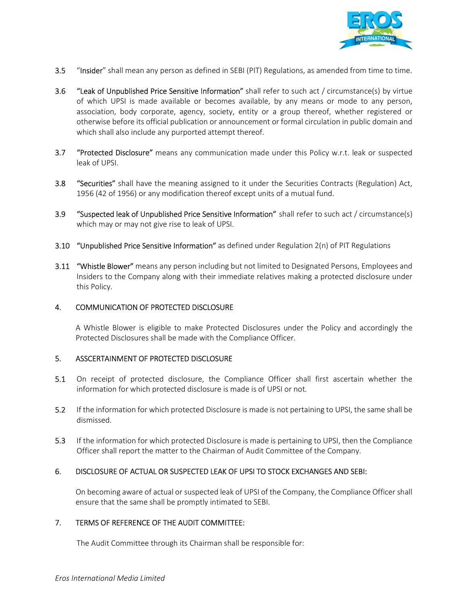

- 3.5 "Insider" shall mean any person as defined in SEBI (PIT) Regulations, as amended from time to time.
- 3.6 "Leak of Unpublished Price Sensitive Information" shall refer to such act / circumstance(s) by virtue of which UPSI is made available or becomes available, by any means or mode to any person, association, body corporate, agency, society, entity or a group thereof, whether registered or otherwise before its official publication or announcement or formal circulation in public domain and which shall also include any purported attempt thereof.
- **3.7** "Protected Disclosure" means any communication made under this Policy w.r.t. leak or suspected leak of UPSI.
- 3.8 "Securities" shall have the meaning assigned to it under the Securities Contracts (Regulation) Act, 1956 (42 of 1956) or any modification thereof except units of a mutual fund.
- 3.9 "Suspected leak of Unpublished Price Sensitive Information" shall refer to such act / circumstance(s) which may or may not give rise to leak of UPSI.
- 3.10 "Unpublished Price Sensitive Information" as defined under Regulation 2(n) of PIT Regulations
- **3.11 "Whistle Blower"** means any person including but not limited to Designated Persons, Employees and Insiders to the Company along with their immediate relatives making a protected disclosure under this Policy.

#### 4. COMMUNICATION OF PROTECTED DISCLOSURE

A Whistle Blower is eligible to make Protected Disclosures under the Policy and accordingly the Protected Disclosures shall be made with the Compliance Officer.

#### 5. ASSCERTAINMENT OF PROTECTED DISCLOSURE

- 5.1 On receipt of protected disclosure, the Compliance Officer shall first ascertain whether the information for which protected disclosure is made is of UPSI or not.
- 5.2 If the information for which protected Disclosure is made is not pertaining to UPSI, the same shall be dismissed.
- 5.3 If the information for which protected Disclosure is made is pertaining to UPSI, then the Compliance Officer shall report the matter to the Chairman of Audit Committee of the Company.

#### 6. DISCLOSURE OF ACTUAL OR SUSPECTED LEAK OF UPSI TO STOCK EXCHANGES AND SEBI:

On becoming aware of actual or suspected leak of UPSI of the Company, the Compliance Officer shall ensure that the same shall be promptly intimated to SEBI.

# 7. TERMS OF REFERENCE OF THE AUDIT COMMITTEE:

The Audit Committee through its Chairman shall be responsible for: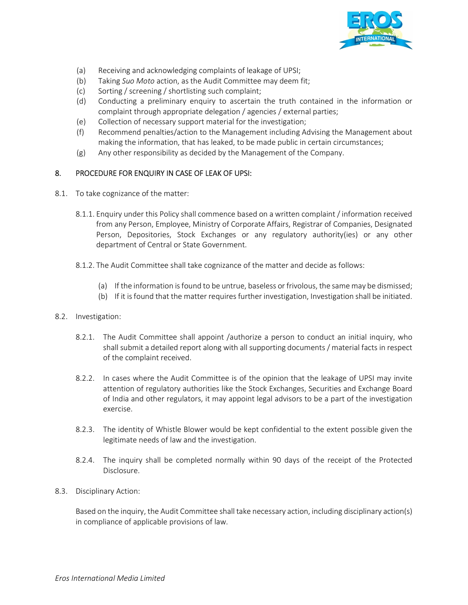

- (a) Receiving and acknowledging complaints of leakage of UPSI;
- (b) Taking Suo Moto action, as the Audit Committee may deem fit;
- (c) Sorting / screening / shortlisting such complaint;
- (d) Conducting a preliminary enquiry to ascertain the truth contained in the information or complaint through appropriate delegation / agencies / external parties;
- (e) Collection of necessary support material for the investigation;
- (f) Recommend penalties/action to the Management including Advising the Management about making the information, that has leaked, to be made public in certain circumstances;
- (g) Any other responsibility as decided by the Management of the Company.

#### 8. PROCEDURE FOR ENQUIRY IN CASE OF LEAK OF UPSI:

- 8.1. To take cognizance of the matter:
	- 8.1.1. Enquiry under this Policy shall commence based on a written complaint / information received from any Person, Employee, Ministry of Corporate Affairs, Registrar of Companies, Designated Person, Depositories, Stock Exchanges or any regulatory authority(ies) or any other department of Central or State Government.
	- 8.1.2. The Audit Committee shall take cognizance of the matter and decide as follows:
		- (a) If the information is found to be untrue, baseless or frivolous, the same may be dismissed;
		- (b) If it is found that the matter requires further investigation, Investigation shall be initiated.

#### 8.2. Investigation:

- 8.2.1. The Audit Committee shall appoint /authorize a person to conduct an initial inquiry, who shall submit a detailed report along with all supporting documents / material facts in respect of the complaint received.
- 8.2.2. In cases where the Audit Committee is of the opinion that the leakage of UPSI may invite attention of regulatory authorities like the Stock Exchanges, Securities and Exchange Board of India and other regulators, it may appoint legal advisors to be a part of the investigation exercise.
- 8.2.3. The identity of Whistle Blower would be kept confidential to the extent possible given the legitimate needs of law and the investigation.
- 8.2.4. The inquiry shall be completed normally within 90 days of the receipt of the Protected Disclosure.
- 8.3. Disciplinary Action:

Based on the inquiry, the Audit Committee shall take necessary action, including disciplinary action(s) in compliance of applicable provisions of law.